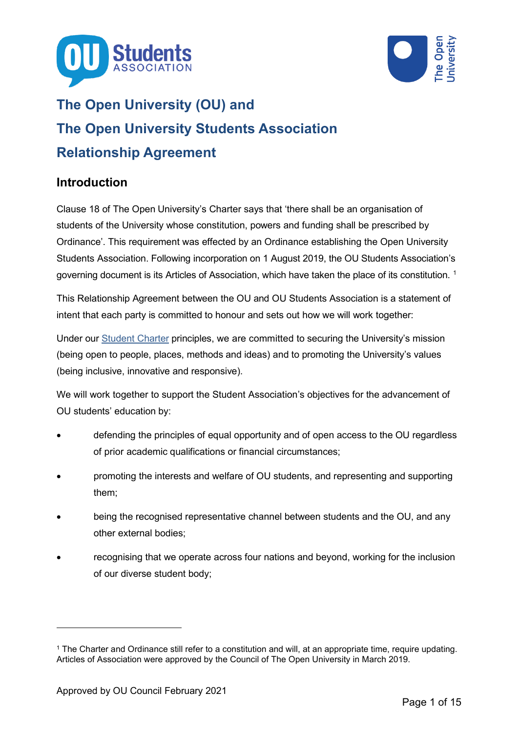



# **The Open University (OU) and The Open University Students Association Relationship Agreement**

# **Introduction**

Clause 18 of The Open University's Charter says that 'there shall be an organisation of students of the University whose constitution, powers and funding shall be prescribed by Ordinance'. This requirement was effected by an Ordinance establishing the Open University Students Association. Following incorporation on 1 August 2019, the OU Students Association's governing document is its Articles of Association, which have taken the place of its constitution.  $1$ 

This Relationship Agreement between the OU and OU Students Association is a statement of intent that each party is committed to honour and sets out how we will work together:

Under our [Student Charter](http://www2.open.ac.uk/students/charter) principles, we are committed to securing the University's mission (being open to people, places, methods and ideas) and to promoting the University's values (being inclusive, innovative and responsive).

We will work together to support the Student Association's objectives for the advancement of OU students' education by:

- defending the principles of equal opportunity and of open access to the OU regardless of prior academic qualifications or financial circumstances;
- promoting the interests and welfare of OU students, and representing and supporting them;
- being the recognised representative channel between students and the OU, and any other external bodies;
- recognising that we operate across four nations and beyond, working for the inclusion of our diverse student body;

<span id="page-0-0"></span><sup>1</sup> The Charter and Ordinance still refer to a constitution and will, at an appropriate time, require updating. Articles of Association were approved by the Council of The Open University in March 2019.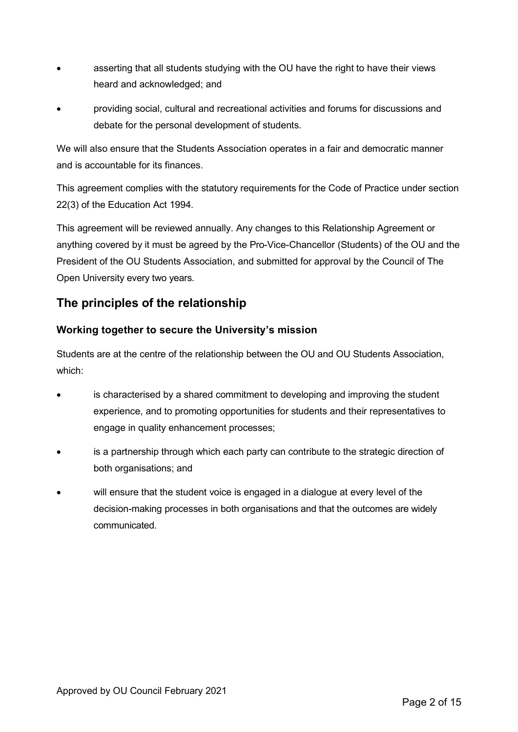- asserting that all students studying with the OU have the right to have their views heard and acknowledged; and
- providing social, cultural and recreational activities and forums for discussions and debate for the personal development of students.

We will also ensure that the Students Association operates in a fair and democratic manner and is accountable for its finances.

This agreement complies with the statutory requirements for the Code of Practice under section 22(3) of the Education Act 1994.

This agreement will be reviewed annually. Any changes to this Relationship Agreement or anything covered by it must be agreed by the Pro-Vice-Chancellor (Students) of the OU and the President of the OU Students Association, and submitted for approval by the Council of The Open University every two years.

# **The principles of the relationship**

# **Working together to secure the University's mission**

Students are at the centre of the relationship between the OU and OU Students Association, which:

- is characterised by a shared commitment to developing and improving the student experience, and to promoting opportunities for students and their representatives to engage in quality enhancement processes;
- is a partnership through which each party can contribute to the strategic direction of both organisations; and
- will ensure that the student voice is engaged in a dialogue at every level of the decision-making processes in both organisations and that the outcomes are widely communicated.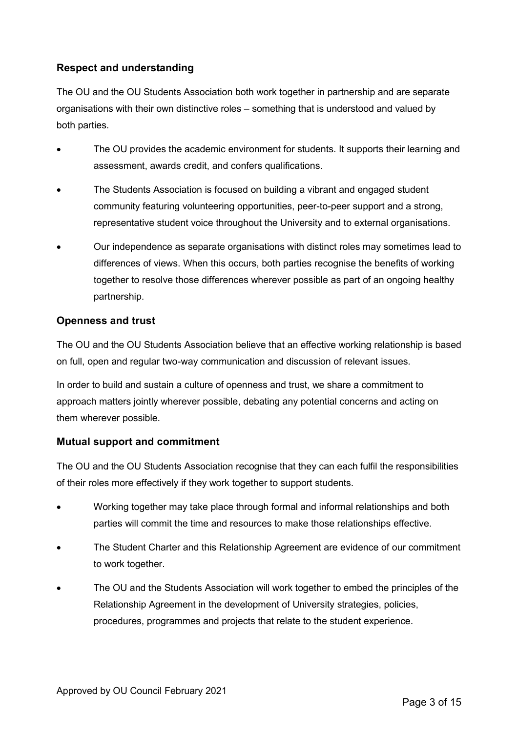## **Respect and understanding**

The OU and the OU Students Association both work together in partnership and are separate organisations with their own distinctive roles – something that is understood and valued by both parties.

- The OU provides the academic environment for students. It supports their learning and assessment, awards credit, and confers qualifications.
- The Students Association is focused on building a vibrant and engaged student community featuring volunteering opportunities, peer-to-peer support and a strong, representative student voice throughout the University and to external organisations.
- Our independence as separate organisations with distinct roles may sometimes lead to differences of views. When this occurs, both parties recognise the benefits of working together to resolve those differences wherever possible as part of an ongoing healthy partnership.

### **Openness and trust**

The OU and the OU Students Association believe that an effective working relationship is based on full, open and regular two-way communication and discussion of relevant issues.

In order to build and sustain a culture of openness and trust, we share a commitment to approach matters jointly wherever possible, debating any potential concerns and acting on them wherever possible.

### **Mutual support and commitment**

The OU and the OU Students Association recognise that they can each fulfil the responsibilities of their roles more effectively if they work together to support students.

- Working together may take place through formal and informal relationships and both parties will commit the time and resources to make those relationships effective.
- The Student Charter and this Relationship Agreement are evidence of our commitment to work together.
- The OU and the Students Association will work together to embed the principles of the Relationship Agreement in the development of University strategies, policies, procedures, programmes and projects that relate to the student experience.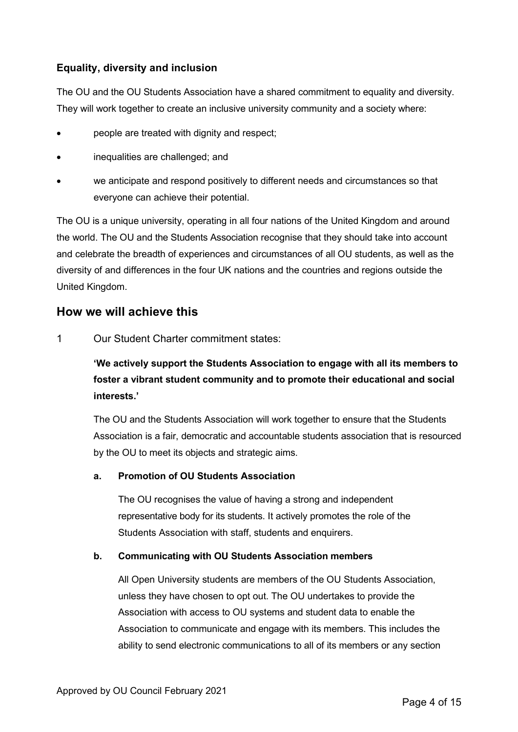### **Equality, diversity and inclusion**

The OU and the OU Students Association have a shared commitment to equality and diversity. They will work together to create an inclusive university community and a society where:

- people are treated with dignity and respect;
- inequalities are challenged; and
- we anticipate and respond positively to different needs and circumstances so that everyone can achieve their potential.

The OU is a unique university, operating in all four nations of the United Kingdom and around the world. The OU and the Students Association recognise that they should take into account and celebrate the breadth of experiences and circumstances of all OU students, as well as the diversity of and differences in the four UK nations and the countries and regions outside the United Kingdom.

# **How we will achieve this**

1 Our Student Charter commitment states:

**'We actively support the Students Association to engage with all its members to foster a vibrant student community and to promote their educational and social interests.'**

The OU and the Students Association will work together to ensure that the Students Association is a fair, democratic and accountable students association that is resourced by the OU to meet its objects and strategic aims.

#### **a. Promotion of OU Students Association**

The OU recognises the value of having a strong and independent representative body for its students. It actively promotes the role of the Students Association with staff, students and enquirers.

#### **b. Communicating with OU Students Association members**

All Open University students are members of the OU Students Association, unless they have chosen to opt out. The OU undertakes to provide the Association with access to OU systems and student data to enable the Association to communicate and engage with its members. This includes the ability to send electronic communications to all of its members or any section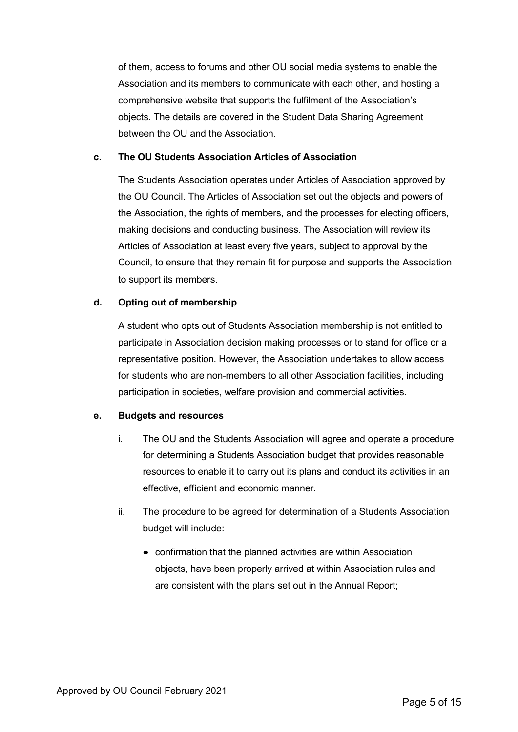of them, access to forums and other OU social media systems to enable the Association and its members to communicate with each other, and hosting a comprehensive website that supports the fulfilment of the Association's objects. The details are covered in the Student Data Sharing Agreement between the OU and the Association.

#### **c. The OU Students Association Articles of Association**

The Students Association operates under Articles of Association approved by the OU Council. The Articles of Association set out the objects and powers of the Association, the rights of members, and the processes for electing officers, making decisions and conducting business. The Association will review its Articles of Association at least every five years, subject to approval by the Council, to ensure that they remain fit for purpose and supports the Association to support its members.

#### **d. Opting out of membership**

A student who opts out of Students Association membership is not entitled to participate in Association decision making processes or to stand for office or a representative position. However, the Association undertakes to allow access for students who are non-members to all other Association facilities, including participation in societies, welfare provision and commercial activities.

#### **e. Budgets and resources**

- i. The OU and the Students Association will agree and operate a procedure for determining a Students Association budget that provides reasonable resources to enable it to carry out its plans and conduct its activities in an effective, efficient and economic manner.
- ii. The procedure to be agreed for determination of a Students Association budget will include:
	- confirmation that the planned activities are within Association objects, have been properly arrived at within Association rules and are consistent with the plans set out in the Annual Report;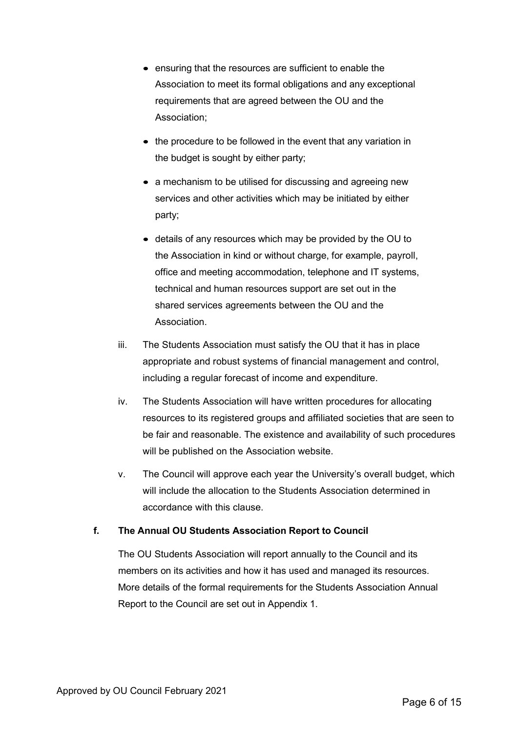- ensuring that the resources are sufficient to enable the Association to meet its formal obligations and any exceptional requirements that are agreed between the OU and the Association;
- the procedure to be followed in the event that any variation in the budget is sought by either party;
- a mechanism to be utilised for discussing and agreeing new services and other activities which may be initiated by either party;
- details of any resources which may be provided by the OU to the Association in kind or without charge, for example, payroll, office and meeting accommodation, telephone and IT systems, technical and human resources support are set out in the shared services agreements between the OU and the Association.
- iii. The Students Association must satisfy the OU that it has in place appropriate and robust systems of financial management and control, including a regular forecast of income and expenditure.
- iv. The Students Association will have written procedures for allocating resources to its registered groups and affiliated societies that are seen to be fair and reasonable. The existence and availability of such procedures will be published on the Association website.
- v. The Council will approve each year the University's overall budget, which will include the allocation to the Students Association determined in accordance with this clause.

#### **f. The Annual OU Students Association Report to Council**

The OU Students Association will report annually to the Council and its members on its activities and how it has used and managed its resources. More details of the formal requirements for the Students Association Annual Report to the Council are set out in Appendix 1.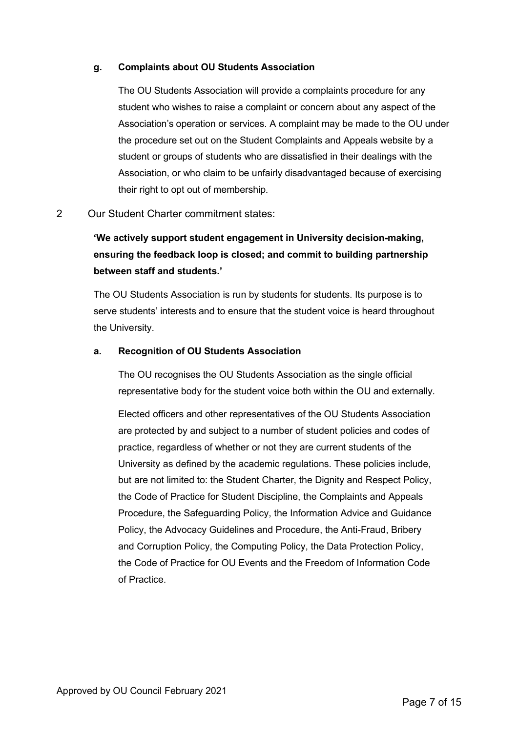#### **g. Complaints about OU Students Association**

The OU Students Association will provide a complaints procedure for any student who wishes to raise a complaint or concern about any aspect of the Association's operation or services. A complaint may be made to the OU under the procedure set out on the Student Complaints and Appeals website by a student or groups of students who are dissatisfied in their dealings with the Association, or who claim to be unfairly disadvantaged because of exercising their right to opt out of membership.

#### 2 Our Student Charter commitment states:

**'We actively support student engagement in University decision-making, ensuring the feedback loop is closed; and commit to building partnership between staff and students.'** 

The OU Students Association is run by students for students. Its purpose is to serve students' interests and to ensure that the student voice is heard throughout the University.

#### **a. Recognition of OU Students Association**

The OU recognises the OU Students Association as the single official representative body for the student voice both within the OU and externally.

Elected officers and other representatives of the OU Students Association are protected by and subject to a number of student policies and codes of practice, regardless of whether or not they are current students of the University as defined by the academic regulations. These policies include, but are not limited to: the Student Charter, the Dignity and Respect Policy, the Code of Practice for Student Discipline, the Complaints and Appeals Procedure, the Safeguarding Policy, the Information Advice and Guidance Policy, the Advocacy Guidelines and Procedure, the Anti-Fraud, Bribery and Corruption Policy, the Computing Policy, the Data Protection Policy, the Code of Practice for OU Events and the Freedom of Information Code of Practice.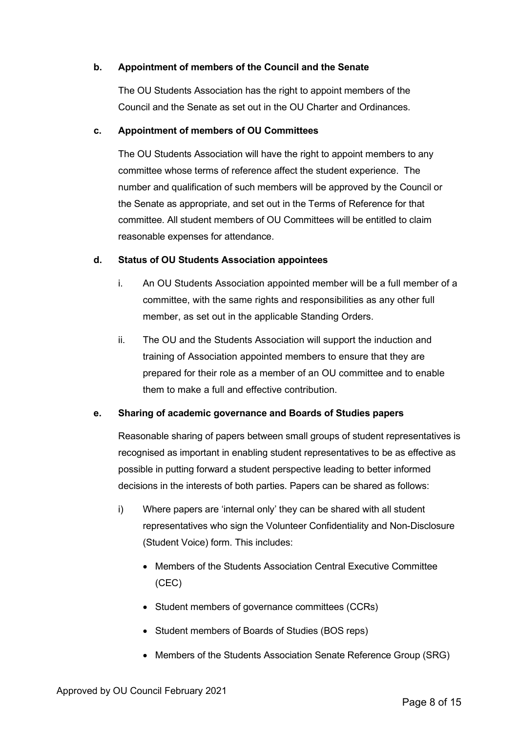#### **b. Appointment of members of the Council and the Senate**

The OU Students Association has the right to appoint members of the Council and the Senate as set out in the OU Charter and Ordinances.

#### **c. Appointment of members of OU Committees**

The OU Students Association will have the right to appoint members to any committee whose terms of reference affect the student experience. The number and qualification of such members will be approved by the Council or the Senate as appropriate, and set out in the Terms of Reference for that committee. All student members of OU Committees will be entitled to claim reasonable expenses for attendance.

#### **d. Status of OU Students Association appointees**

- i. An OU Students Association appointed member will be a full member of a committee, with the same rights and responsibilities as any other full member, as set out in the applicable Standing Orders.
- ii. The OU and the Students Association will support the induction and training of Association appointed members to ensure that they are prepared for their role as a member of an OU committee and to enable them to make a full and effective contribution.

#### **e. Sharing of academic governance and Boards of Studies papers**

Reasonable sharing of papers between small groups of student representatives is recognised as important in enabling student representatives to be as effective as possible in putting forward a student perspective leading to better informed decisions in the interests of both parties. Papers can be shared as follows:

- i) Where papers are 'internal only' they can be shared with all student representatives who sign the Volunteer Confidentiality and Non-Disclosure (Student Voice) form. This includes:
	- Members of the Students Association Central Executive Committee (CEC)
	- Student members of governance committees (CCRs)
	- Student members of Boards of Studies (BOS reps)
	- Members of the Students Association Senate Reference Group (SRG)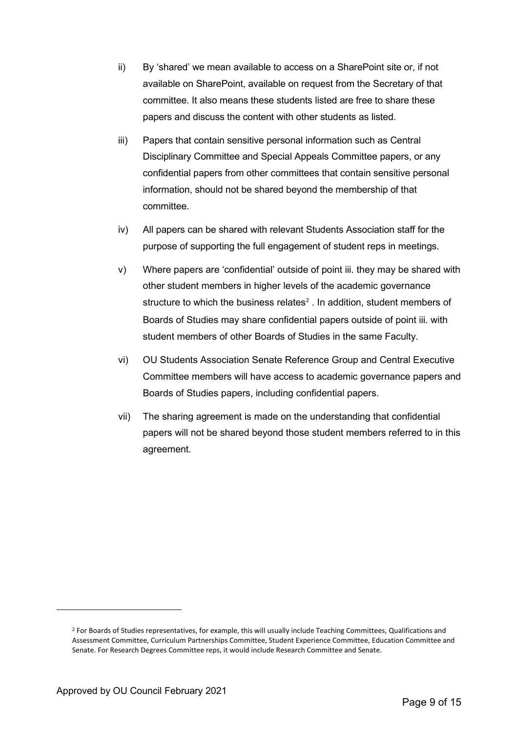- ii) By 'shared' we mean available to access on a SharePoint site or, if not available on SharePoint, available on request from the Secretary of that committee. It also means these students listed are free to share these papers and discuss the content with other students as listed.
- iii) Papers that contain sensitive personal information such as Central Disciplinary Committee and Special Appeals Committee papers, or any confidential papers from other committees that contain sensitive personal information, should not be shared beyond the membership of that committee.
- iv) All papers can be shared with relevant Students Association staff for the purpose of supporting the full engagement of student reps in meetings.
- v) Where papers are 'confidential' outside of point iii. they may be shared with other student members in higher levels of the academic governance structure to which the business relates<sup>[2](#page-8-0)</sup>. In addition, student members of Boards of Studies may share confidential papers outside of point iii. with student members of other Boards of Studies in the same Faculty.
- vi) OU Students Association Senate Reference Group and Central Executive Committee members will have access to academic governance papers and Boards of Studies papers, including confidential papers.
- vii) The sharing agreement is made on the understanding that confidential papers will not be shared beyond those student members referred to in this agreement.

<span id="page-8-0"></span><sup>&</sup>lt;sup>2</sup> For Boards of Studies representatives, for example, this will usually include Teaching Committees, Qualifications and Assessment Committee, Curriculum Partnerships Committee, Student Experience Committee, Education Committee and Senate. For Research Degrees Committee reps, it would include Research Committee and Senate.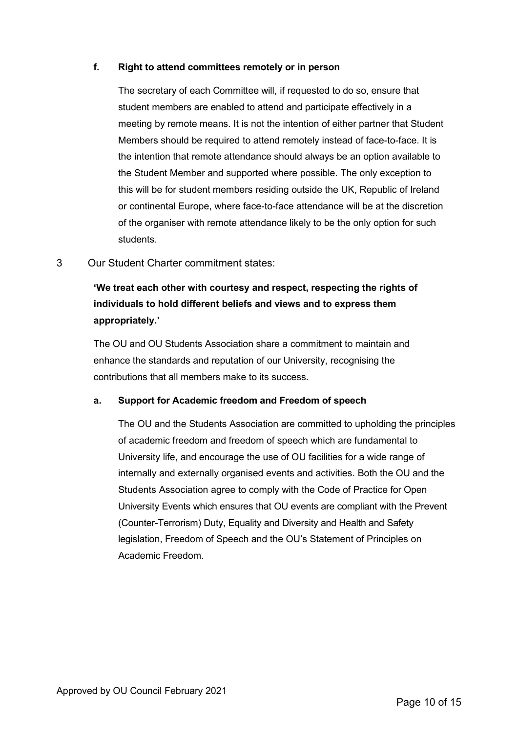#### **f. Right to attend committees remotely or in person**

The secretary of each Committee will, if requested to do so, ensure that student members are enabled to attend and participate effectively in a meeting by remote means. It is not the intention of either partner that Student Members should be required to attend remotely instead of face-to-face. It is the intention that remote attendance should always be an option available to the Student Member and supported where possible. The only exception to this will be for student members residing outside the UK, Republic of Ireland or continental Europe, where face-to-face attendance will be at the discretion of the organiser with remote attendance likely to be the only option for such students.

3 Our Student Charter commitment states:

# **'We treat each other with courtesy and respect, respecting the rights of individuals to hold different beliefs and views and to express them appropriately.'**

The OU and OU Students Association share a commitment to maintain and enhance the standards and reputation of our University, recognising the contributions that all members make to its success.

#### **a. Support for Academic freedom and Freedom of speech**

The OU and the Students Association are committed to upholding the principles of academic freedom and freedom of speech which are fundamental to University life, and encourage the use of OU facilities for a wide range of internally and externally organised events and activities. Both the OU and the Students Association agree to comply with the Code of Practice for Open University Events which ensures that OU events are compliant with the Prevent (Counter-Terrorism) Duty, Equality and Diversity and Health and Safety legislation, Freedom of Speech and the OU's Statement of Principles on Academic Freedom.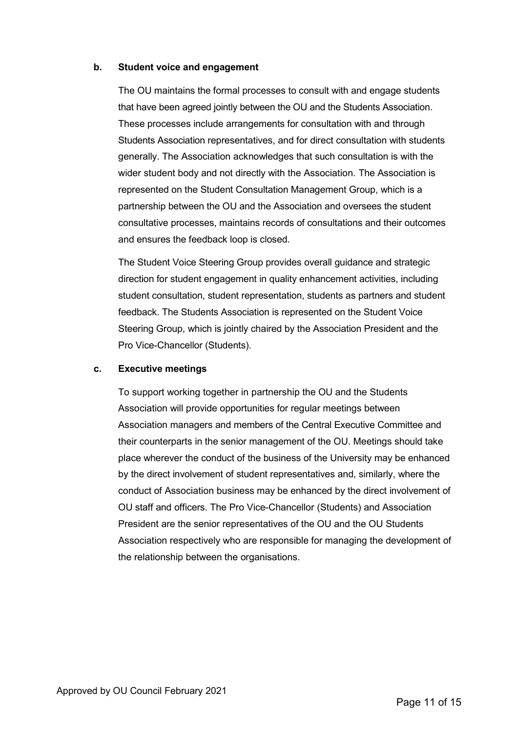#### **b. Student voice and engagement**

The OU maintains the formal processes to consult with and engage students that have been agreed jointly between the OU and the Students Association. These processes include arrangements for consultation with and through Students Association representatives, and for direct consultation with students generally. The Association acknowledges that such consultation is with the wider student body and not directly with the Association. The Association is represented on the Student Consultation Management Group, which is a partnership between the OU and the Association and oversees the student consultative processes, maintains records of consultations and their outcomes and ensures the feedback loop is closed.

The Student Voice Steering Group provides overall guidance and strategic direction for student engagement in quality enhancement activities, including student consultation, student representation, students as partners and student feedback. The Students Association is represented on the Student Voice Steering Group, which is jointly chaired by the Association President and the Pro Vice-Chancellor (Students).

#### **c. Executive meetings**

To support working together in partnership the OU and the Students Association will provide opportunities for regular meetings between Association managers and members of the Central Executive Committee and their counterparts in the senior management of the OU. Meetings should take place wherever the conduct of the business of the University may be enhanced by the direct involvement of student representatives and, similarly, where the conduct of Association business may be enhanced by the direct involvement of OU staff and officers. The Pro Vice-Chancellor (Students) and Association President are the senior representatives of the OU and the OU Students Association respectively who are responsible for managing the development of the relationship between the organisations.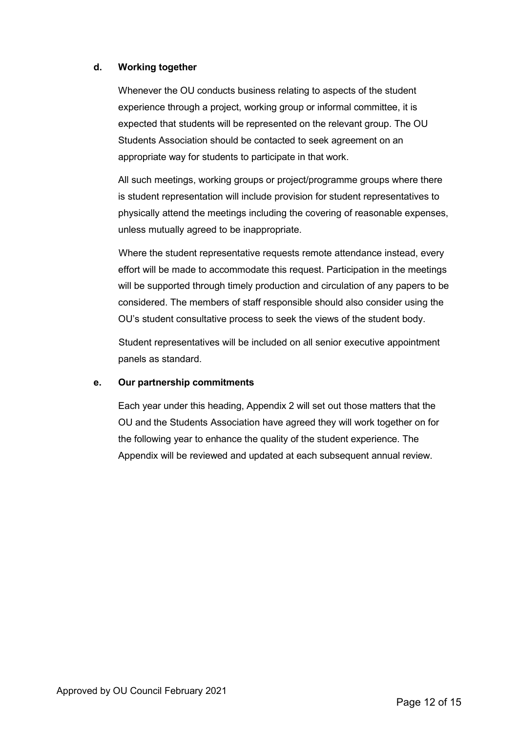#### **d. Working together**

Whenever the OU conducts business relating to aspects of the student experience through a project, working group or informal committee, it is expected that students will be represented on the relevant group. The OU Students Association should be contacted to seek agreement on an appropriate way for students to participate in that work.

All such meetings, working groups or project/programme groups where there is student representation will include provision for student representatives to physically attend the meetings including the covering of reasonable expenses, unless mutually agreed to be inappropriate.

Where the student representative requests remote attendance instead, every effort will be made to accommodate this request. Participation in the meetings will be supported through timely production and circulation of any papers to be considered. The members of staff responsible should also consider using the OU's student consultative process to seek the views of the student body.

Student representatives will be included on all senior executive appointment panels as standard.

#### **e. Our partnership commitments**

Each year under this heading, Appendix 2 will set out those matters that the OU and the Students Association have agreed they will work together on for the following year to enhance the quality of the student experience. The Appendix will be reviewed and updated at each subsequent annual review.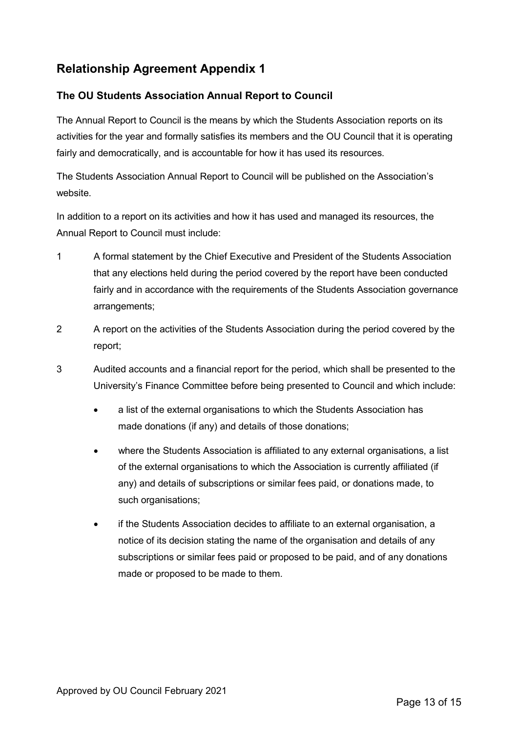# **Relationship Agreement Appendix 1**

## **The OU Students Association Annual Report to Council**

The Annual Report to Council is the means by which the Students Association reports on its activities for the year and formally satisfies its members and the OU Council that it is operating fairly and democratically, and is accountable for how it has used its resources.

The Students Association Annual Report to Council will be published on the Association's website.

In addition to a report on its activities and how it has used and managed its resources, the Annual Report to Council must include:

- 1 A formal statement by the Chief Executive and President of the Students Association that any elections held during the period covered by the report have been conducted fairly and in accordance with the requirements of the Students Association governance arrangements;
- 2 A report on the activities of the Students Association during the period covered by the report;
- 3 Audited accounts and a financial report for the period, which shall be presented to the University's Finance Committee before being presented to Council and which include:
	- a list of the external organisations to which the Students Association has made donations (if any) and details of those donations;
	- where the Students Association is affiliated to any external organisations, a list of the external organisations to which the Association is currently affiliated (if any) and details of subscriptions or similar fees paid, or donations made, to such organisations;
	- if the Students Association decides to affiliate to an external organisation, a notice of its decision stating the name of the organisation and details of any subscriptions or similar fees paid or proposed to be paid, and of any donations made or proposed to be made to them.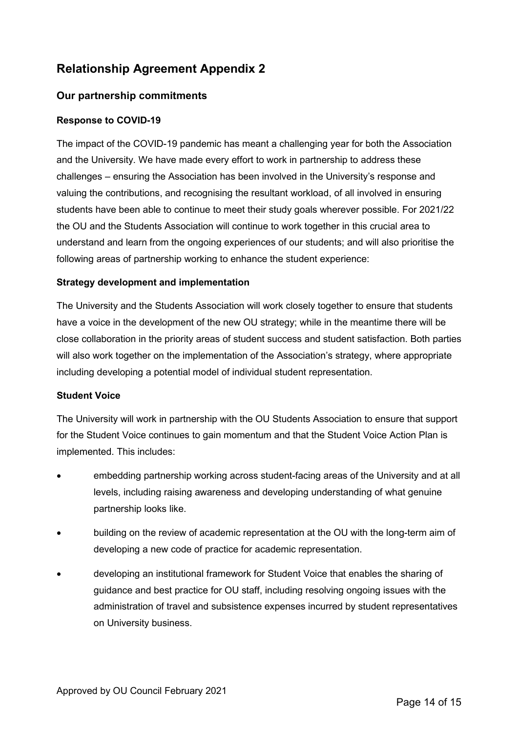# **Relationship Agreement Appendix 2**

### **Our partnership commitments**

#### **Response to COVID-19**

The impact of the COVID-19 pandemic has meant a challenging year for both the Association and the University. We have made every effort to work in partnership to address these challenges – ensuring the Association has been involved in the University's response and valuing the contributions, and recognising the resultant workload, of all involved in ensuring students have been able to continue to meet their study goals wherever possible. For 2021/22 the OU and the Students Association will continue to work together in this crucial area to understand and learn from the ongoing experiences of our students; and will also prioritise the following areas of partnership working to enhance the student experience:

#### **Strategy development and implementation**

The University and the Students Association will work closely together to ensure that students have a voice in the development of the new OU strategy; while in the meantime there will be close collaboration in the priority areas of student success and student satisfaction. Both parties will also work together on the implementation of the Association's strategy, where appropriate including developing a potential model of individual student representation.

#### **Student Voice**

The University will work in partnership with the OU Students Association to ensure that support for the Student Voice continues to gain momentum and that the Student Voice Action Plan is implemented. This includes:

- embedding partnership working across student-facing areas of the University and at all levels, including raising awareness and developing understanding of what genuine partnership looks like.
- building on the review of academic representation at the OU with the long-term aim of developing a new code of practice for academic representation.
- developing an institutional framework for Student Voice that enables the sharing of guidance and best practice for OU staff, including resolving ongoing issues with the administration of travel and subsistence expenses incurred by student representatives on University business.